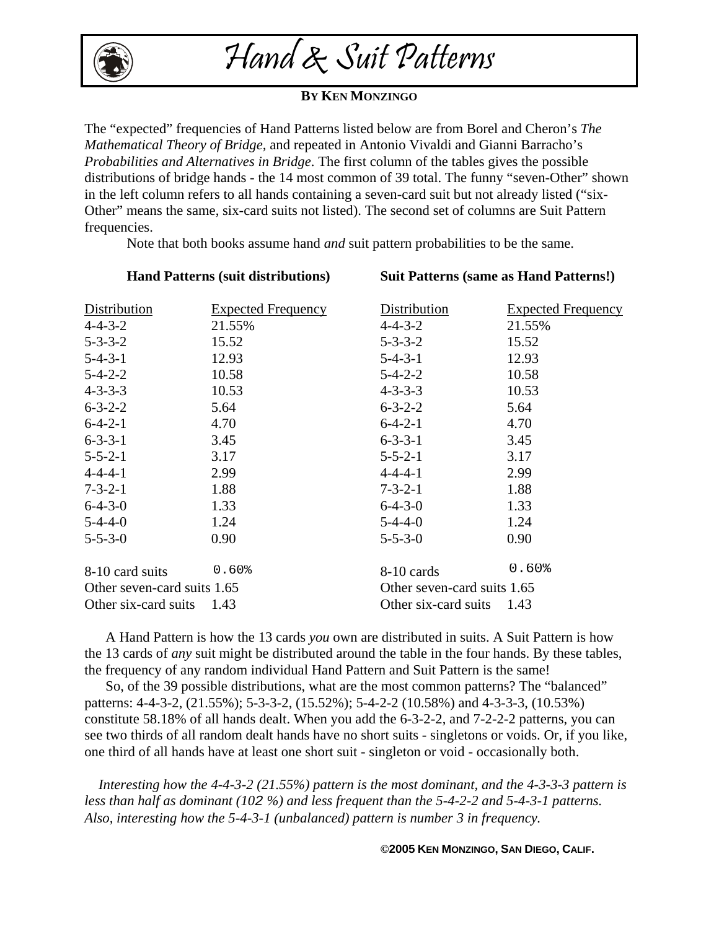

## Hand & Suit Patterns

## **BY KEN MONZINGO**

The "expected" frequencies of Hand Patterns listed below are from Borel and Cheron's *The Mathematical Theory of Bridge,* and repeated in Antonio Vivaldi and Gianni Barracho's *Probabilities and Alternatives in Bridge*. The first column of the tables gives the possible distributions of bridge hands - the 14 most common of 39 total. The funny "seven-Other" shown in the left column refers to all hands containing a seven-card suit but not already listed ("six-Other" means the same, six-card suits not listed). The second set of columns are Suit Pattern frequencies.

Note that both books assume hand *and* suit pattern probabilities to be the same.

| <b>Hand Patterns (suit distributions)</b> |                           | <b>Suit Patterns (same as Hand Patterns!)</b> |                           |  |
|-------------------------------------------|---------------------------|-----------------------------------------------|---------------------------|--|
| Distribution                              | <b>Expected Frequency</b> | Distribution                                  | <b>Expected Frequency</b> |  |
| $4 - 4 - 3 - 2$                           | 21.55%                    | $4 - 4 - 3 - 2$                               | 21.55%                    |  |
| $5 - 3 - 3 - 2$                           | 15.52                     | $5 - 3 - 3 - 2$                               | 15.52                     |  |
| $5 - 4 - 3 - 1$                           | 12.93                     | $5 - 4 - 3 - 1$                               | 12.93                     |  |
| $5 - 4 - 2 - 2$                           | 10.58                     | $5 - 4 - 2 - 2$                               | 10.58                     |  |
| $4 - 3 - 3 - 3$                           | 10.53                     | $4 - 3 - 3 - 3$                               | 10.53                     |  |
| $6 - 3 - 2 - 2$                           | 5.64                      | $6 - 3 - 2 - 2$                               | 5.64                      |  |
| $6-4-2-1$                                 | 4.70                      | $6 - 4 - 2 - 1$                               | 4.70                      |  |
| $6 - 3 - 3 - 1$                           | 3.45                      | $6 - 3 - 3 - 1$                               | 3.45                      |  |
| $5 - 5 - 2 - 1$                           | 3.17                      | $5 - 5 - 2 - 1$                               | 3.17                      |  |
| $4 - 4 - 4 - 1$                           | 2.99                      | $4 - 4 - 4 - 1$                               | 2.99                      |  |
| $7 - 3 - 2 - 1$                           | 1.88                      | $7 - 3 - 2 - 1$                               | 1.88                      |  |
| $6 - 4 - 3 - 0$                           | 1.33                      | $6 - 4 - 3 - 0$                               | 1.33                      |  |
| $5 - 4 - 4 - 0$                           | 1.24                      | $5 - 4 - 4 - 0$                               | 1.24                      |  |
| $5 - 5 - 3 - 0$                           | 0.90                      | $5 - 5 - 3 - 0$                               | 0.90                      |  |
| 8-10 card suits                           | 0.60%                     | 8-10 cards                                    | 0.60%                     |  |
| Other seven-card suits 1.65               |                           | Other seven-card suits 1.65                   |                           |  |
| Other six-card suits $1.43$               |                           | Other six-card suits $1.43$                   |                           |  |

 A Hand Pattern is how the 13 cards *you* own are distributed in suits. A Suit Pattern is how the 13 cards of *any* suit might be distributed around the table in the four hands. By these tables, the frequency of any random individual Hand Pattern and Suit Pattern is the same!

 So, of the 39 possible distributions, what are the most common patterns? The "balanced" patterns: 4-4-3-2, (21.55%); 5-3-3-2, (15.52%); 5-4-2-2 (10.58%) and 4-3-3-3, (10.53%) constitute 58.18% of all hands dealt. When you add the 6-3-2-2, and 7-2-2-2 patterns, you can see two thirds of all random dealt hands have no short suits - singletons or voids. Or, if you like, one third of all hands have at least one short suit - singleton or void - occasionally both.

 *Interesting how the 4-4-3-2 (21.55%) pattern is the most dominant, and the 4-3-3-3 pattern is less than half as dominant (102 %) and less frequent than the 5-4-2-2 and 5-4-3-1 patterns. Also, interesting how the 5-4-3-1 (unbalanced) pattern is number 3 in frequency.* 

**©2005 KEN MONZINGO, SAN DIEGO, CALIF.**